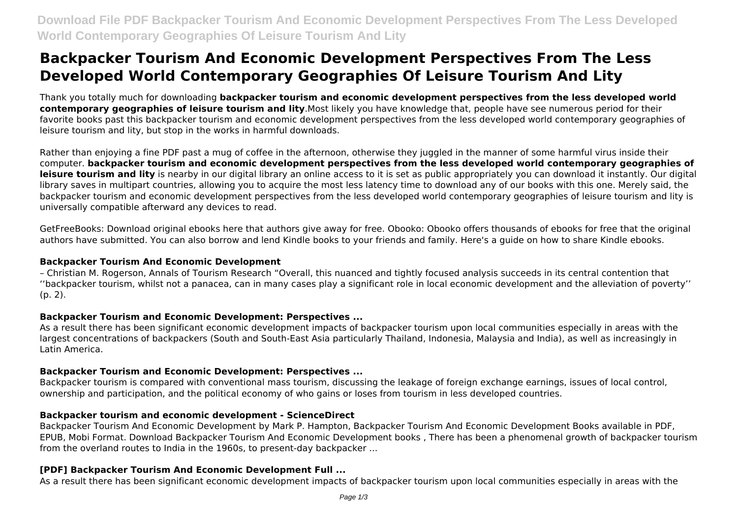# **Backpacker Tourism And Economic Development Perspectives From The Less Developed World Contemporary Geographies Of Leisure Tourism And Lity**

Thank you totally much for downloading **backpacker tourism and economic development perspectives from the less developed world contemporary geographies of leisure tourism and lity**.Most likely you have knowledge that, people have see numerous period for their favorite books past this backpacker tourism and economic development perspectives from the less developed world contemporary geographies of leisure tourism and lity, but stop in the works in harmful downloads.

Rather than enjoying a fine PDF past a mug of coffee in the afternoon, otherwise they juggled in the manner of some harmful virus inside their computer. **backpacker tourism and economic development perspectives from the less developed world contemporary geographies of** leisure tourism and lity is nearby in our digital library an online access to it is set as public appropriately you can download it instantly. Our digital library saves in multipart countries, allowing you to acquire the most less latency time to download any of our books with this one. Merely said, the backpacker tourism and economic development perspectives from the less developed world contemporary geographies of leisure tourism and lity is universally compatible afterward any devices to read.

GetFreeBooks: Download original ebooks here that authors give away for free. Obooko: Obooko offers thousands of ebooks for free that the original authors have submitted. You can also borrow and lend Kindle books to your friends and family. Here's a guide on how to share Kindle ebooks.

#### **Backpacker Tourism And Economic Development**

– Christian M. Rogerson, Annals of Tourism Research "Overall, this nuanced and tightly focused analysis succeeds in its central contention that ''backpacker tourism, whilst not a panacea, can in many cases play a significant role in local economic development and the alleviation of poverty''  $(p, 2)$ .

# **Backpacker Tourism and Economic Development: Perspectives ...**

As a result there has been significant economic development impacts of backpacker tourism upon local communities especially in areas with the largest concentrations of backpackers (South and South-East Asia particularly Thailand, Indonesia, Malaysia and India), as well as increasingly in Latin America.

# **Backpacker Tourism and Economic Development: Perspectives ...**

Backpacker tourism is compared with conventional mass tourism, discussing the leakage of foreign exchange earnings, issues of local control, ownership and participation, and the political economy of who gains or loses from tourism in less developed countries.

# **Backpacker tourism and economic development - ScienceDirect**

Backpacker Tourism And Economic Development by Mark P. Hampton, Backpacker Tourism And Economic Development Books available in PDF, EPUB, Mobi Format. Download Backpacker Tourism And Economic Development books , There has been a phenomenal growth of backpacker tourism from the overland routes to India in the 1960s, to present-day backpacker ...

# **[PDF] Backpacker Tourism And Economic Development Full ...**

As a result there has been significant economic development impacts of backpacker tourism upon local communities especially in areas with the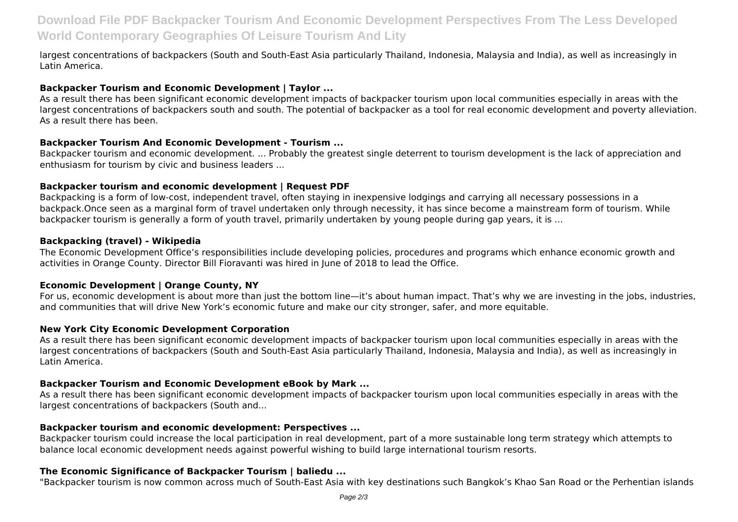# **Download File PDF Backpacker Tourism And Economic Development Perspectives From The Less Developed World Contemporary Geographies Of Leisure Tourism And Lity**

largest concentrations of backpackers (South and South-East Asia particularly Thailand, Indonesia, Malaysia and India), as well as increasingly in Latin America.

#### **Backpacker Tourism and Economic Development | Taylor ...**

As a result there has been significant economic development impacts of backpacker tourism upon local communities especially in areas with the largest concentrations of backpackers south and south. The potential of backpacker as a tool for real economic development and poverty alleviation. As a result there has been.

#### **Backpacker Tourism And Economic Development - Tourism ...**

Backpacker tourism and economic development. ... Probably the greatest single deterrent to tourism development is the lack of appreciation and enthusiasm for tourism by civic and business leaders ...

#### **Backpacker tourism and economic development | Request PDF**

Backpacking is a form of low-cost, independent travel, often staying in inexpensive lodgings and carrying all necessary possessions in a backpack.Once seen as a marginal form of travel undertaken only through necessity, it has since become a mainstream form of tourism. While backpacker tourism is generally a form of youth travel, primarily undertaken by young people during gap years, it is ...

### **Backpacking (travel) - Wikipedia**

The Economic Development Office's responsibilities include developing policies, procedures and programs which enhance economic growth and activities in Orange County. Director Bill Fioravanti was hired in June of 2018 to lead the Office.

#### **Economic Development | Orange County, NY**

For us, economic development is about more than just the bottom line—it's about human impact. That's why we are investing in the jobs, industries, and communities that will drive New York's economic future and make our city stronger, safer, and more equitable.

#### **New York City Economic Development Corporation**

As a result there has been significant economic development impacts of backpacker tourism upon local communities especially in areas with the largest concentrations of backpackers (South and South-East Asia particularly Thailand, Indonesia, Malaysia and India), as well as increasingly in Latin America.

#### **Backpacker Tourism and Economic Development eBook by Mark ...**

As a result there has been significant economic development impacts of backpacker tourism upon local communities especially in areas with the largest concentrations of backpackers (South and...

#### **Backpacker tourism and economic development: Perspectives ...**

Backpacker tourism could increase the local participation in real development, part of a more sustainable long term strategy which attempts to balance local economic development needs against powerful wishing to build large international tourism resorts.

# **The Economic Significance of Backpacker Tourism | baliedu ...**

"Backpacker tourism is now common across much of South-East Asia with key destinations such Bangkok's Khao San Road or the Perhentian islands